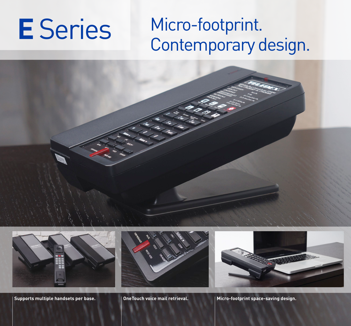# **E** Series

## Micro-footprint. Contemporary design.





**Supports multiple handsets per base. OneTouch voice mail retrieval. Micro-footprint space-saving design.**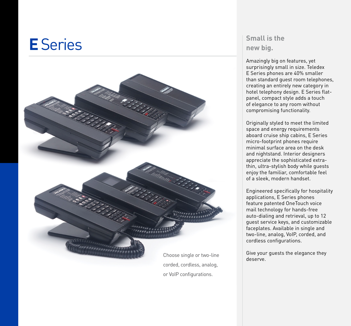### **E** Series



or VoIP configurations.

### **Small is the new big.**

Amazingly big on features, yet surprisingly small in size. Teledex E Series phones are 40% smaller than standard guest room telephones, creating an entirely new category in hotel telephony design. E Series flatpanel, compact style adds a touch of elegance to any room without compromising functionality.

Originally styled to meet the limited space and energy requirements aboard cruise ship cabins, E Series micro-footprint phones require minimal surface area on the desk and nightstand. Interior designers appreciate the sophisticated extrathin, ultra-stylish body while guests enjoy the familiar, comfortable feel of a sleek, modern handset.

Engineered specifically for hospitality applications, E Series phones feature patented OneTouch voice mail technology for hands-free auto-dialing and retrieval, up to 12 guest service keys, and customizable faceplates. Available in single and two-line, analog, VoIP, corded, and cordless configurations.

Give your guests the elegance they